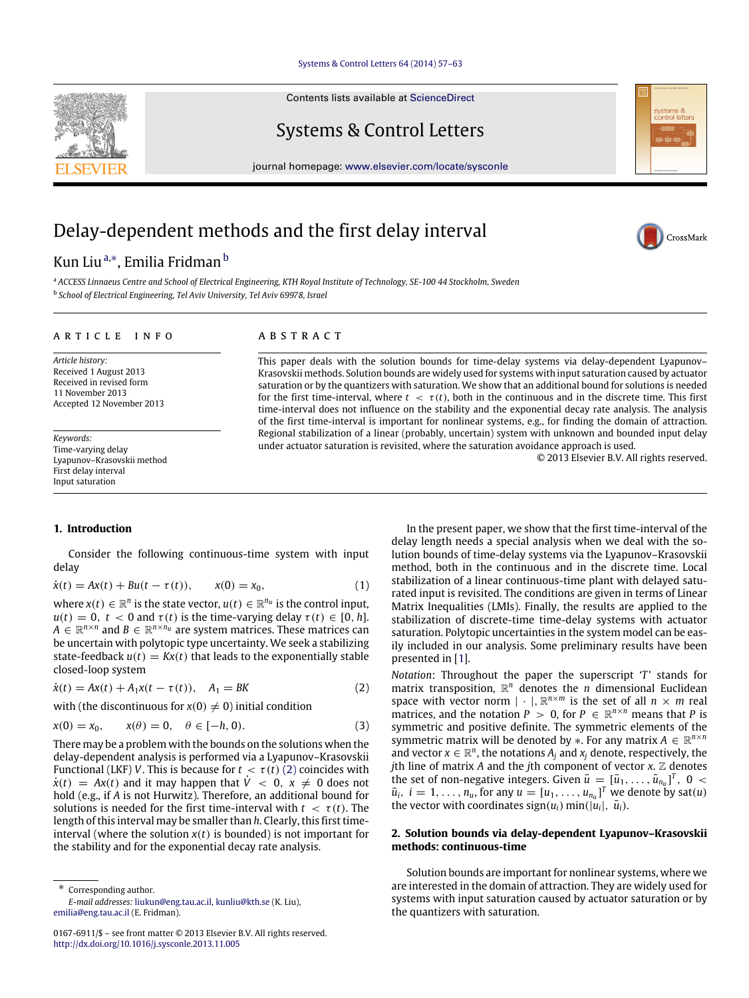### [Systems & Control Letters 64 \(2014\) 57–63](http://dx.doi.org/10.1016/j.sysconle.2013.11.005)

Contents lists available at [ScienceDirect](http://www.elsevier.com/locate/sysconle)

Systems & Control Letters

journal homepage: [www.elsevier.com/locate/sysconle](http://www.elsevier.com/locate/sysconle)

# Delay-dependent methods and the first delay interval

## Kun Liu<sup>[a,](#page-0-0)[∗](#page-0-1)</sup>, Emilia Fridman <sup>[b](#page-0-2)</sup>

<span id="page-0-2"></span><span id="page-0-0"></span><sup>a</sup> *ACCESS Linnaeus Centre and School of Electrical Engineering, KTH Royal Institute of Technology, SE-100 44 Stockholm, Sweden* b *School of Electrical Engineering, Tel Aviv University, Tel Aviv 69978, Israel*

#### ARTICLE INFO

*Article history:* Received 1 August 2013 Received in revised form 11 November 2013 Accepted 12 November 2013

*Keywords:* Time-varying delay Lyapunov–Krasovskii method First delay interval Input saturation

## A B S T R A C T

This paper deals with the solution bounds for time-delay systems via delay-dependent Lyapunov– Krasovskii methods. Solution bounds are widely used for systems with input saturation caused by actuator saturation or by the quantizers with saturation. We show that an additional bound for solutions is needed for the first time-interval, where  $t < \tau(t)$ , both in the continuous and in the discrete time. This first time-interval does not influence on the stability and the exponential decay rate analysis. The analysis of the first time-interval is important for nonlinear systems, e.g., for finding the domain of attraction. Regional stabilization of a linear (probably, uncertain) system with unknown and bounded input delay under actuator saturation is revisited, where the saturation avoidance approach is used.

© 2013 Elsevier B.V. All rights reserved.

## <span id="page-0-5"></span>**1. Introduction**

Consider the following continuous-time system with input delay

$$
\dot{x}(t) = Ax(t) + Bu(t - \tau(t)), \qquad x(0) = x_0,
$$
\n(1)

where  $x(t) \in \mathbb{R}^n$  is the state vector,  $u(t) \in \mathbb{R}^{n_u}$  is the control input,  $u(t) = 0, t < 0$  and  $\tau(t)$  is the time-varying delay  $\tau(t) \in [0, h]$ .  $A \in \mathbb{R}^{n \times n}$  and  $B \in \mathbb{R}^{n \times n_u}$  are system matrices. These matrices can be uncertain with polytopic type uncertainty. We seek a stabilizing state-feedback  $u(t) = Kx(t)$  that leads to the exponentially stable closed-loop system

$$
\dot{x}(t) = Ax(t) + A_1 x(t - \tau(t)), \quad A_1 = BK \tag{2}
$$

with (the discontinuous for  $x(0) \neq 0$ ) initial condition

$$
x(0) = x_0, \qquad x(\theta) = 0, \quad \theta \in [-h, 0). \tag{3}
$$

There may be a problem with the bounds on the solutions when the delay-dependent analysis is performed via a Lyapunov–Krasovskii Functional (LKF) *V*. This is because for  $t < \tau(t)$  [\(2\)](#page-0-3) coincides with  $\dot{x}(t) = Ax(t)$  and it may happen that  $\dot{V} < 0$ ,  $x \neq 0$  does not hold (e.g., if *A* is not Hurwitz). Therefore, an additional bound for solutions is needed for the first time-interval with  $t < \tau(t)$ . The length of this interval may be smaller than *h*. Clearly, this first timeinterval (where the solution  $x(t)$  is bounded) is not important for the stability and for the exponential decay rate analysis.

<span id="page-0-1"></span>∗ Corresponding author. *E-mail addresses:* [liukun@eng.tau.ac.il,](mailto:liukun@eng.tau.ac.il) [kunliu@kth.se](mailto:kunliu@kth.se) (K. Liu), [emilia@eng.tau.ac.il](mailto:emilia@eng.tau.ac.il) (E. Fridman).

<span id="page-0-6"></span>In the present paper, we show that the first time-interval of the delay length needs a special analysis when we deal with the solution bounds of time-delay systems via the Lyapunov–Krasovskii method, both in the continuous and in the discrete time. Local stabilization of a linear continuous-time plant with delayed saturated input is revisited. The conditions are given in terms of Linear Matrix Inequalities (LMIs). Finally, the results are applied to the stabilization of discrete-time time-delay systems with actuator saturation. Polytopic uncertainties in the system model can be easily included in our analysis. Some preliminary results have been presented in [\[1\]](#page-6-0).

<span id="page-0-4"></span><span id="page-0-3"></span>*Notation*: Throughout the paper the superscript '*T*' stands for matrix transposition,  $\mathbb{R}^n$  denotes the *n* dimensional Euclidean space with vector norm  $| \cdot |$ ,  $\mathbb{R}^{n \times m}$  is the set of all  $n \times m$  real matrices, and the notation  $P > 0$ , for  $P \in \mathbb{R}^{n \times n}$  means that P is symmetric and positive definite. The symmetric elements of the symmetric matrix will be denoted by  $\ast$ . For any matrix  $A \in \mathbb{R}^{n \times n}$ and vector  $x \in \mathbb{R}^n$ , the notations  $A_j$  and  $x_j$  denote, respectively, the *j*th line of matrix *A* and the *j*th component of vector  $x$ .  $\mathbb Z$  denotes the set of non-negative integers. Given  $\bar{u} = [\bar{u}_1, \ldots, \bar{u}_{n_u}]^T$ , 0 <  $\bar{u}_i$ ,  $i = 1, \ldots, n_u$ , for any  $u = [u_1, \ldots, u_{n_u}]^T$  we denote by sat $(u)$ the vector with coordinates sign( $u_i$ ) min( $|\dot{u}_i|$ ,  $\bar{u}_i$ ).

## **2. Solution bounds via delay-dependent Lyapunov–Krasovskii methods: continuous-time**

Solution bounds are important for nonlinear systems, where we are interested in the domain of attraction. They are widely used for systems with input saturation caused by actuator saturation or by the quantizers with saturation.





ystems &<br>ontrol lette

<sup>0167-6911/\$ –</sup> see front matter © 2013 Elsevier B.V. All rights reserved. <http://dx.doi.org/10.1016/j.sysconle.2013.11.005>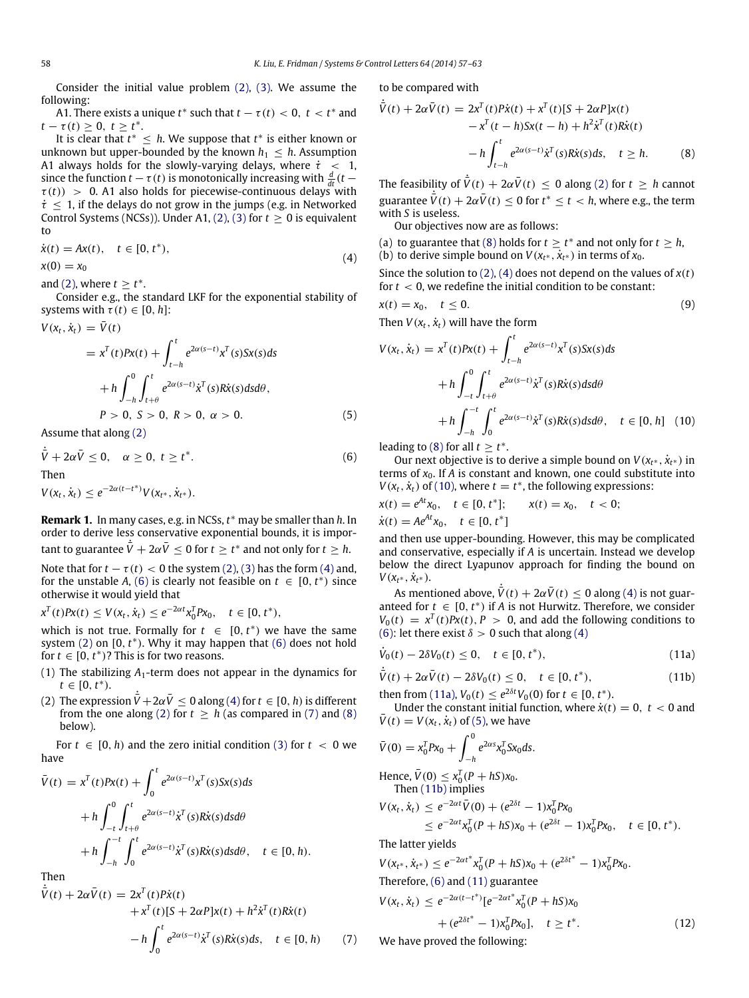Consider the initial value problem [\(2\),](#page-0-3) [\(3\).](#page-0-4) We assume the following:

A1. There exists a unique  $t^*$  such that  $t - \tau(t) < 0$ ,  $t < t^*$  and  $t - \tau(t) \geq 0, t \geq t^*$ .

It is clear that  $t^* \leq h$ . We suppose that  $t^*$  is either known or unknown but upper-bounded by the known  $h_1 \leq h$ . Assumption A1 always holds for the slowly-varying delays, where  $\dot{\tau}$  < 1, since the function  $t - \tau(t)$  is monotonically increasing with  $\frac{d}{dt}(t \tau(t)$ ) > 0. A1 also holds for piecewise-continuous delays with  $\dot{\tau} \leq 1$ , if the delays do not grow in the jumps (e.g. in Networked Control Systems (NCSs)). Under A1, [\(2\),](#page-0-3) [\(3\)](#page-0-4) for  $t \ge 0$  is equivalent to

$$
\dot{x}(t) = Ax(t), \quad t \in [0, t^*), \n x(0) = x_0
$$
\n(4)

and [\(2\),](#page-0-3) where  $t \geq t^*$ .

Consider e.g., the standard LKF for the exponential stability of systems with  $\tau(t) \in [0, h]$ :

$$
V(x_t, \dot{x}_t) = \bar{V}(t)
$$
  
=  $x^T(t)Px(t) + \int_{t-h}^t e^{2\alpha(s-t)}x^T(s)Sx(s)ds$   
+  $h \int_{-h}^0 \int_{t+\theta}^t e^{2\alpha(s-t)}\dot{x}^T(s)R\dot{x}(s)dsd\theta,$   
 $P > 0, S > 0, R > 0, \alpha > 0.$  (5)

Assume that along [\(2\)](#page-0-3)

$$
\dot{\overline{V}} + 2\alpha \overline{V} \le 0, \quad \alpha \ge 0, \ t \ge t^*.
$$
  
Then  

$$
V(x_t, \dot{x}_t) \le e^{-2\alpha(t - t^*)} V(x_{t^*}, \dot{x}_{t^*}).
$$
 (6)

**Remark 1.** In many cases, e.g. in NCSs, *t* <sup>∗</sup> may be smaller than *h*. In order to derive less conservative exponential bounds, it is important to guarantee  $\dot{\bar{V}} + 2\alpha \bar{V} \leq 0$  for  $t \geq t^*$  and not only for  $t \geq h$ .

Note that for  $t - \tau(t) < 0$  the system [\(2\),](#page-0-3) [\(3\)](#page-0-4) has the form [\(4\)](#page-1-0) and, for the unstable *A*, [\(6\)](#page-1-1) is clearly not feasible on  $t \in [0, t^*)$  since otherwise it would yield that

$$
x^{T}(t)Px(t) \leq V(x_{t},\dot{x}_{t}) \leq e^{-2\alpha t}x_{0}^{T}Px_{0}, \quad t \in [0,t^{*}),
$$

which is not true. Formally for  $t \in [0, t^*)$  we have the same system [\(2\)](#page-0-3) on [0, t<sup>\*</sup>). Why it may happen that [\(6\)](#page-1-1) does not hold for  $t \in [0, t^*)$ ? This is for two reasons.

- (1) The stabilizing *A*1-term does not appear in the dynamics for  $t \in [0, t^*)$ .
- (2) The expression  $\dot{\bar{V}} + 2\alpha \bar{V} \leq 0$  along [\(4\)](#page-1-0) for  $t \in [0, h)$  is different from the one along [\(2\)](#page-0-3) for  $t \geq h$  (as compared in [\(7\)](#page-1-2) and [\(8\)](#page-1-3) below).

For  $t \in [0, h)$  and the zero initial condition [\(3\)](#page-0-4) for  $t < 0$  we have

$$
\bar{V}(t) = x^T(t)Px(t) + \int_0^t e^{2\alpha(s-t)}x^T(s)Sx(s)ds
$$
  
+ 
$$
h \int_{-t}^0 \int_{t+\theta}^t e^{2\alpha(s-t)}\dot{x}^T(s)R\dot{x}(s)dsd\theta
$$
  
+ 
$$
h \int_{-h}^{-t} \int_0^t e^{2\alpha(s-t)}\dot{x}^T(s)R\dot{x}(s)dsd\theta, \quad t \in [0, h).
$$

Then  $\dot{\bar{V}}$ 

$$
\dot{\overline{V}}(t) + 2\alpha \overline{V}(t) = 2x^{T}(t)P\dot{x}(t)
$$
  
+  $x^{T}(t)[S + 2\alpha P]x(t) + h^{2}\dot{x}^{T}(t)R\dot{x}(t)$   
-  $h \int_{0}^{t} e^{2\alpha(s-t)}\dot{x}^{T}(s)R\dot{x}(s)ds, \quad t \in [0, h)$  (7)

to be compared with

<span id="page-1-3"></span>
$$
\dot{\overline{V}}(t) + 2\alpha \overline{V}(t) = 2x^{T}(t)P\dot{x}(t) + x^{T}(t)[S + 2\alpha P]x(t)
$$
  

$$
-x^{T}(t - h)Sx(t - h) + h^{2}\dot{x}^{T}(t)R\dot{x}(t)
$$
  

$$
-h \int_{t-h}^{t} e^{2\alpha(s-t)}\dot{x}^{T}(s)R\dot{x}(s)ds, \quad t \ge h.
$$
 (8)

The feasibility of  $\dot{\bar{V}}(t) + 2\alpha \bar{V}(t) \leq 0$  along [\(2\)](#page-0-3) for  $t \geq h$  cannot guarantee  $\overline{V}(t) + 2\alpha \overline{V}(t) \le 0$  for  $t^* \le t < h$ , where e.g., the term with *S* is useless.

Our objectives now are as follows:

<span id="page-1-0"></span>(a) to guarantee that [\(8\)](#page-1-3) holds for  $t \geq t^*$  and not only for  $t \geq h$ ,

(b) to derive simple bound on  $V(x_t^*, \vec{x}_{t^*})$  in terms of  $\vec{x}_0$ .

Since the solution to [\(2\),](#page-0-3) [\(4\)](#page-1-0) does not depend on the values of  $x(t)$ for  $t < 0$ , we redefine the initial condition to be constant:

$$
x(t) = x_0, \quad t \le 0. \tag{9}
$$

Then  $V(x_t, \dot{x}_t)$  will have the form

<span id="page-1-9"></span>
$$
V(x_t, \dot{x}_t) = x^T(t)Px(t) + \int_{t-h}^t e^{2\alpha(s-t)}x^T(s)Sx(s)ds
$$
  
+  $h \int_{-t}^0 \int_{t+\theta}^t e^{2\alpha(s-t)}\dot{x}^T(s)R\dot{x}(s)dsd\theta$   
+  $h \int_{-h}^{-t} \int_0^t e^{2\alpha(s-t)}\dot{x}^T(s)R\dot{x}(s)dsd\theta, \quad t \in [0, h]$  (10)

<span id="page-1-6"></span><span id="page-1-4"></span><span id="page-1-1"></span>leading to [\(8\)](#page-1-3) for all  $t \geq t^*$ .

Our next objective is to derive a simple bound on  $V(x_{t^*}, \dot{x}_{t^*})$  in terms of  $x_0$ . If *A* is constant and known, one could substitute into  $V(x_t, \dot{x}_t)$  of [\(10\),](#page-1-4) where  $t = t^*$ , the following expressions:

$$
x(t) = e^{At}x_0, \quad t \in [0, t^*]; \qquad x(t) = x_0, \quad t < 0;
$$
\n
$$
\dot{x}(t) = Ae^{At}x_0, \quad t \in [0, t^*]
$$

and then use upper-bounding. However, this may be complicated and conservative, especially if *A* is uncertain. Instead we develop below the direct Lyapunov approach for finding the bound on  $V(x_{t^*}, \dot{x}_{t^*}).$ 

As mentioned above,  $\dot{\vec{V}}(t) + 2\alpha \vec{V}(t) \leq 0$  along [\(4\)](#page-1-0) is not guaranteed for  $t \in [0, t^*)$  if *A* is not Hurwitz. Therefore, we consider  $V_0(t) = x^T(t)Px(t), P > 0$ , and add the following conditions to [\(6\):](#page-1-1) let there exist  $\delta > 0$  such that along [\(4\)](#page-1-0)

$$
\dot{V}_0(t) - 2\delta V_0(t) \le 0, \quad t \in [0, t^*),
$$
\n(11a)

$$
\dot{\bar{V}}(t) + 2\alpha \bar{V}(t) - 2\delta V_0(t) \le 0, \quad t \in [0, t^*),
$$
\n(11b)

then from [\(11a\),](#page-1-5)  $V_0(t) \leq e^{2\delta t} V_0(0)$  for  $t \in [0, t^*)$ .

Under the constant initial function, where  $\dot{x}(t) = 0$ ,  $t < 0$  and  $\bar{V}(t) = V(x_t, \dot{x}_t)$  of [\(5\),](#page-1-6) we have

$$
\bar{V}(0) = x_0^T P x_0 + \int_{-h}^{\infty} e^{2\alpha s} x_0^T S x_0 ds.
$$
  
Hence,  $\bar{V}(0) \le x_0^T (P + hS) x_0$ .  
Then (11b) implies

<span id="page-1-10"></span><span id="page-1-7"></span><span id="page-1-5"></span> $0<sup>0</sup>$ 

$$
V(x_t, \dot{x}_t) \le e^{-2\alpha t} \bar{V}(0) + (e^{2\delta t} - 1)x_0^T P x_0
$$
  
 
$$
\le e^{-2\alpha t} x_0^T (P + hS) x_0 + (e^{2\delta t} - 1) x_0^T P x_0, \quad t \in [0, t^*).
$$

The latter yields

<span id="page-1-8"></span> $\cdot$ 

$$
V(x_{t^*}, \dot{x}_{t^*}) \le e^{-2\alpha t^*} x_0^T (P + hS)x_0 + (e^{2\delta t^*} - 1)x_0^T P x_0.
$$
  
Therefore, (6) and (11) guarantee  

$$
V(x_t, \dot{x}_t) \le e^{-2\alpha (t - t^*)} [e^{-2\alpha t^*} x_0^T (P + hS)x_0 + (e^{2\delta t^*} - 1)x_0^T P x_0], \quad t \ge t^*.
$$
 (12)

<span id="page-1-2"></span>We have proved the following: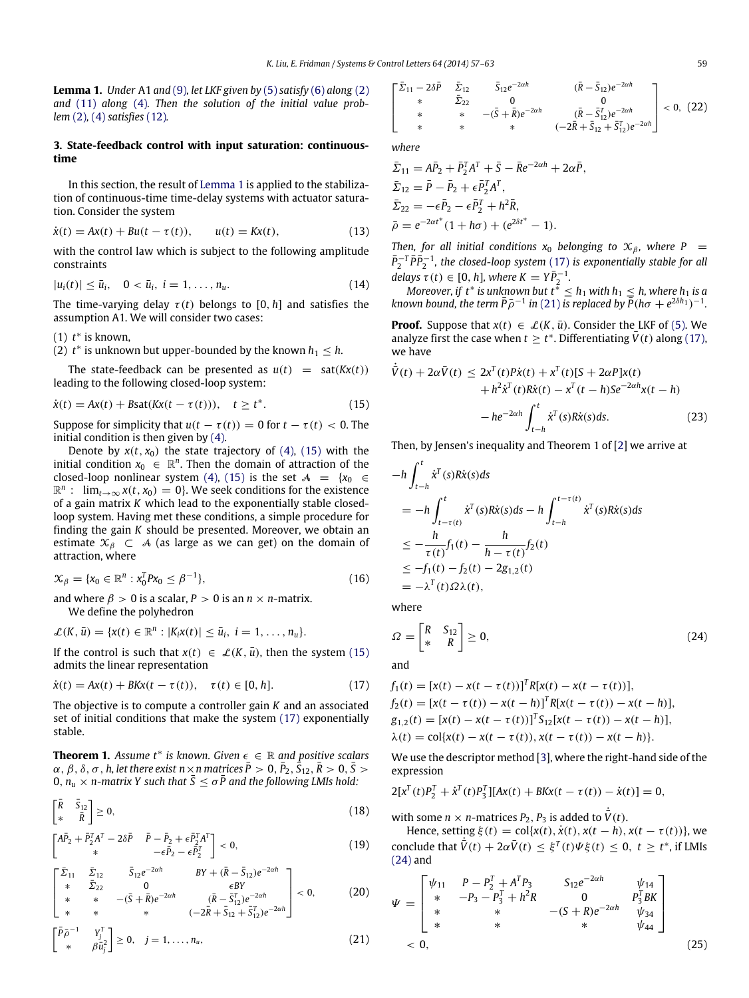<span id="page-2-0"></span>**Lemma 1.** *Under* A1 *and* [\(9\)](#page-1-9)*, let LKF given by* [\(5\)](#page-1-6) *satisfy* [\(6\)](#page-1-1) *along* [\(2\)](#page-0-3) and [\(11\)](#page-1-8) *along* [\(4\)](#page-1-0)*. Then the solution of the initial value problem* [\(2\)](#page-0-3)*,* [\(4\)](#page-1-0) *satisfies* [\(12\)](#page-1-10)*.*

## **3. State-feedback control with input saturation: continuoustime**

In this section, the result of [Lemma 1](#page-2-0) is applied to the stabilization of continuous-time time-delay systems with actuator saturation. Consider the system

$$
\dot{x}(t) = Ax(t) + Bu(t - \tau(t)), \qquad u(t) = Kx(t), \tag{13}
$$

with the control law which is subject to the following amplitude constraints

$$
|u_i(t)| \leq \bar{u}_i, \quad 0 < \bar{u}_i, \ i = 1, \dots, n_u. \tag{14}
$$

The time-varying delay  $\tau(t)$  belongs to [0, *h*] and satisfies the assumption A1. We will consider two cases:

 $(1)$   $t^*$  is known,

 $(2)$   $t^*$  is unknown but upper-bounded by the known  $h_1 \leq h$ .

The state-feedback can be presented as  $u(t) = sat(Kx(t))$ leading to the following closed-loop system:

$$
\dot{x}(t) = Ax(t) + B\text{sat}(Kx(t - \tau(t))), \quad t \ge t^*.
$$
 (15)

Suppose for simplicity that  $u(t - \tau(t)) = 0$  for  $t - \tau(t) < 0$ . The initial condition is then given by [\(4\).](#page-1-0)

Denote by  $x(t, x_0)$  the state trajectory of [\(4\),](#page-1-0) [\(15\)](#page-2-1) with the initial condition  $x_0 \in \mathbb{R}^n$ . Then the domain of attraction of the closed-loop nonlinear system [\(4\),](#page-1-0) [\(15\)](#page-2-1) is the set  $A = \{x_0 \in$  $\mathbb{R}^n$  :  $\lim_{t\to\infty} x(t, x_0) = 0$ . We seek conditions for the existence of a gain matrix *K* which lead to the exponentially stable closedloop system. Having met these conditions, a simple procedure for finding the gain *K* should be presented. Moreover, we obtain an estimate  $\mathcal{X}_{\beta} \subset \mathcal{A}$  (as large as we can get) on the domain of attraction, where

$$
\mathcal{X}_{\beta} = \{x_0 \in \mathbb{R}^n : x_0^T P x_0 \le \beta^{-1}\},\tag{16}
$$

and where  $\beta > 0$  is a scalar,  $P > 0$  is an  $n \times n$ -matrix.

We define the polyhedron

$$
\mathcal{L}(K,\overline{u}) = \{x(t) \in \mathbb{R}^n : |K_i x(t)| \leq \overline{u}_i, i = 1,\ldots,n_u\}.
$$

If the control is such that  $x(t) \in \mathcal{L}(K, \bar{u})$ , then the system [\(15\)](#page-2-1) admits the linear representation

$$
\dot{x}(t) = Ax(t) + BKx(t - \tau(t)), \quad \tau(t) \in [0, h].
$$
\n(17)

The objective is to compute a controller gain *K* and an associated set of initial conditions that make the system [\(17\)](#page-2-2) exponentially stable.

<span id="page-2-11"></span>**Theorem 1.** *Assume t*<sup>∗</sup> *is known. Given* ϵ ∈ R *and positive scalars*  $\alpha$  ,  $\beta$  ,  $\delta$  ,  $\sigma$  ,  $h$ , let there exist  $n\times n$  matrices  $\bar{P}>0$  ,  $\bar{P}_2$  ,  $\bar{S}_{12}$  ,  $\bar{R}>0$  ,  $\bar{S}>0$ 0,  $n_u \times n$ -matrix Y such that  $\bar{S} \leq \sigma \bar{P}$  and the following LMIs hold:

$$
\begin{bmatrix} \bar{R} & \bar{S}_{12} \\ * & \bar{R} \end{bmatrix} \geq 0,\tag{18}
$$

$$
\begin{bmatrix} A\bar{P}_2 + \bar{P}_2^T A^T - 2\delta \bar{P} & \bar{P} - \bar{P}_2 + \epsilon \bar{P}_2^T A^T \\ * & -\epsilon \bar{P}_2 - \epsilon \bar{P}_2^T \end{bmatrix} < 0, \tag{19}
$$

$$
\begin{bmatrix} \bar{\Sigma}_{11} & \bar{\Sigma}_{12} & \bar{S}_{12}e^{-2\alpha h} & BY + (\bar{R} - \bar{S}_{12})e^{-2\alpha h} \\ * & \bar{\Sigma}_{22} & 0 & \epsilon BY \\ * & * & -(\bar{S} + \bar{R})e^{-2\alpha h} & (\bar{R} - \bar{S}_{12}^T)e^{-2\alpha h} \\ * & * & * & (-2\bar{R} + \bar{S}_{12} + \bar{S}_{12}^T)e^{-2\alpha h} \end{bmatrix} < 0,
$$
 (20)

$$
\begin{bmatrix} \bar{P}\bar{\rho}^{-1} & Y_j^T \\ * & \beta \bar{u}_j^2 \end{bmatrix} \geq 0, \quad j = 1, \dots, n_u,
$$
\n(21)

<span id="page-2-9"></span>
$$
\begin{bmatrix} \bar{\Sigma}_{11} - 2\delta\bar{P} & \bar{\Sigma}_{12} & \bar{S}_{12}e^{-2\alpha h} & (\bar{R} - \bar{S}_{12})e^{-2\alpha h} \\ * & \bar{\Sigma}_{22} & 0 & 0 \\ * & * & -(\bar{S} + \bar{R})e^{-2\alpha h} & (\bar{R} - \bar{S}_{12}^T)e^{-2\alpha h} \\ * & * & * & (-2\bar{R} + \bar{S}_{12} + \bar{S}_{12}^T)e^{-2\alpha h} \end{bmatrix} < 0, (22)
$$

*where*

$$
\begin{aligned}\n\bar{\Sigma}_{11} &= A\bar{P}_2 + \bar{P}_2^T A^T + \bar{S} - \bar{R}e^{-2\alpha h} + 2\alpha \bar{P}, \\
\bar{\Sigma}_{12} &= \bar{P} - \bar{P}_2 + \epsilon \bar{P}_2^T A^T, \\
\bar{\Sigma}_{22} &= -\epsilon \bar{P}_2 - \epsilon \bar{P}_2^T + h^2 \bar{R}, \\
\bar{\rho} &= e^{-2\alpha t^*}(1 + h\sigma) + (e^{2\delta t^*} - 1).\n\end{aligned}
$$

<span id="page-2-13"></span>*Then, for all initial conditions*  $x_0$  *belonging to*  $X_\beta$ *, where*  $P =$  $\bar{P}_2^{-T} \bar{P} \bar{P}_2^{-1}$ , the closed-loop system [\(17\)](#page-2-2) is exponentially stable for all *delays*  $\tau(t) \in [0, h]$ , where  $K = Y\overline{P}_2^{-1}$ .<br> *Moreover, if*  $t^*$  *is unknown but*  $t^* \leq h_1$  *with*  $h_1 \leq h$ , where  $h_1$  *is a* 

<span id="page-2-12"></span>*known bound, the term*  $\bar{P}_{\rho}$ <sup>-1</sup> in [\(21\)](#page-2-3) *is replaced by*  $\bar{P}$ (*ho* +  $e^{2\delta h_1}$ )<sup>-1</sup>.

**Proof.** Suppose that  $x(t) \in \mathcal{L}(K, \bar{u})$ . Consider the LKF of [\(5\).](#page-1-6) We analyze first the case when  $t \geq t^*$ . Differentiating  $\bar{V}(t)$  along [\(17\),](#page-2-2) we have

<span id="page-2-8"></span><span id="page-2-1"></span>
$$
\dot{\overline{V}}(t) + 2\alpha \overline{V}(t) \le 2x^{T}(t)P\dot{x}(t) + x^{T}(t)[S + 2\alpha P]x(t) \n+ h^{2}\dot{x}^{T}(t)R\dot{x}(t) - x^{T}(t - h)Se^{-2\alpha h}x(t - h) \n- he^{-2\alpha h}\int_{t-h}^{t} \dot{x}^{T}(s)R\dot{x}(s)ds.
$$
\n(23)

Then, by Jensen's inequality and Theorem 1 of [\[2\]](#page-6-1) we arrive at

$$
-h \int_{t-h}^{t} \dot{x}^{T}(s)R\dot{x}(s)ds
$$
  
=  $-h \int_{t-\tau(t)}^{t} \dot{x}^{T}(s)R\dot{x}(s)ds - h \int_{t-h}^{t-\tau(t)} \dot{x}^{T}(s)R\dot{x}(s)ds$   

$$
\leq -\frac{h}{\tau(t)}f_{1}(t) - \frac{h}{h-\tau(t)}f_{2}(t)
$$
  

$$
\leq -f_{1}(t) - f_{2}(t) - 2g_{1,2}(t)
$$
  
=  $-\lambda^{T}(t)\Omega\lambda(t),$ 

where

<span id="page-2-4"></span>
$$
\Omega = \begin{bmatrix} R & S_{12} \\ * & R \end{bmatrix} \ge 0,\tag{24}
$$

and

<span id="page-2-2"></span>
$$
f_1(t) = [x(t) - x(t - \tau(t))]^T R[x(t) - x(t - \tau(t))],
$$
  
\n
$$
f_2(t) = [x(t - \tau(t)) - x(t - h)]^T R[x(t - \tau(t)) - x(t - h)],
$$
  
\n
$$
g_{1,2}(t) = [x(t) - x(t - \tau(t))]^T S_{12}[x(t - \tau(t)) - x(t - h)],
$$
  
\n
$$
\lambda(t) = \text{col}\{x(t) - x(t - \tau(t)), x(t - \tau(t)) - x(t - h)\}.
$$

We use the descriptor method [\[3\]](#page-6-2), where the right-hand side of the expression

$$
2[x^{T}(t)P_{2}^{T} + \dot{x}^{T}(t)P_{3}^{T}][Ax(t) + BKx(t - \tau(t)) - \dot{x}(t)] = 0,
$$

<span id="page-2-6"></span>with some  $n \times n$ -matrices  $P_2$ ,  $P_3$  is added to  $\dot{\overline{V}}(t)$ .

<span id="page-2-10"></span>Hence, setting  $\xi(t) = \text{col}\{x(t), \dot{x}(t), x(t-h), x(t-\tau(t))\}$ , we conclude that  $\dot{\bar{V}}(t) + 2\alpha \bar{V}(t) \leq \xi^{T}(t) \Psi \xi(t) \leq 0, t \geq t^{*}$ , if LMIs [\(24\)](#page-2-4) and

<span id="page-2-7"></span><span id="page-2-5"></span><span id="page-2-3"></span>
$$
\Psi = \begin{bmatrix} \psi_{11} & P - P_2^T + A^T P_3 & S_{12} e^{-2\alpha h} & \psi_{14} \\ * & -P_3 - P_3^T + h^2 R & 0 & P_3^T B K \\ * & * & -(S + R)e^{-2\alpha h} & \psi_{34} \\ * & * & * & \psi_{44} \end{bmatrix}
$$
  
< 0, (25)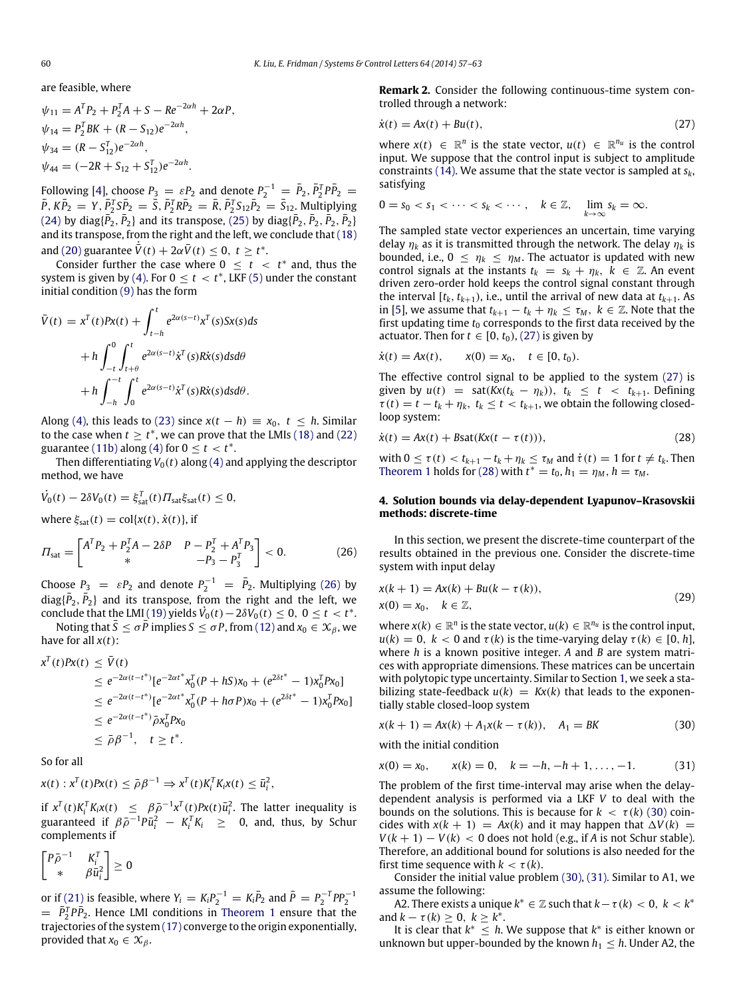are feasible, where

$$
\psi_{11} = A^T P_2 + P_2^T A + S - Re^{-2\alpha h} + 2\alpha P,
$$
  
\n
$$
\psi_{14} = P_2^T B K + (R - S_{12})e^{-2\alpha h},
$$
  
\n
$$
\psi_{34} = (R - S_{12}^T)e^{-2\alpha h},
$$
  
\n
$$
\psi_{44} = (-2R + S_{12} + S_{12}^T)e^{-2\alpha h}.
$$

Following [\[4\]](#page-6-3), choose  $P_3 = \varepsilon P_2$  and denote  $P_2^{-1} = \overline{P}_2, \overline{P}_2^T P \overline{P}_2 =$  $\bar{P}$ ,  $K\bar{P}_2 = Y$ ,  $\bar{P}_2^T S \bar{P}_2 = \bar{S}$ ,  $\bar{P}_2^T R \bar{P}_2 = \bar{R}$ ,  $\bar{P}_2^T S_{12} \bar{P}_2 = \bar{S}_{12}$ . Multiplying  $(24)$  by diag $\{\bar{P}_2, \bar{P}_2\}$  and its transpose,  $(25)$  by diag $\{\bar{P}_2, \bar{P}_2, \bar{P}_2, \bar{P}_2\}$ and its transpose, from the right and the left, we conclude that [\(18\)](#page-2-6) and [\(20\)](#page-2-7) guarantee  $\dot{\bar{V}}(t) + 2\alpha \bar{V}(t) \leq 0, t \geq t^*$ .

Consider further the case where  $0 \leq t \leq t^*$  and, thus the system is given by [\(4\).](#page-1-0) For  $0 \le t < t^*$ , LKF [\(5\)](#page-1-6) under the constant initial condition [\(9\)](#page-1-9) has the form

$$
\bar{V}(t) = x^{T}(t)Px(t) + \int_{t-h}^{t} e^{2\alpha(s-t)}x^{T}(s)Sx(s)ds
$$

$$
+ h \int_{-t}^{0} \int_{t+\theta}^{t} e^{2\alpha(s-t)}\dot{x}^{T}(s)R\dot{x}(s)dsd\theta
$$

$$
+ h \int_{-h}^{-t} \int_{0}^{t} e^{2\alpha(s-t)}\dot{x}^{T}(s)R\dot{x}(s)dsd\theta.
$$

Along [\(4\),](#page-1-0) this leads to [\(23\)](#page-2-8) since  $x(t - h) \equiv x_0, t \leq h$ . Similar to the case when  $t \geq t^*$ , we can prove that the LMIs [\(18\)](#page-2-6) and [\(22\)](#page-2-9) guarantee [\(11b\)](#page-1-7) along [\(4\)](#page-1-0) for  $0 \le t < t^*$ .

Then differentiating  $V_0(t)$  along [\(4\)](#page-1-0) and applying the descriptor method, we have

$$
\dot{V}_0(t) - 2\delta V_0(t) = \xi_{\text{sat}}^T(t) \Pi_{\text{sat}} \xi_{\text{sat}}(t) \leq 0,
$$

where  $\xi_{\text{sat}}(t) = \text{col}\{x(t), \dot{x}(t)\}\text{, if}$ 

$$
\Pi_{\text{sat}} = \begin{bmatrix} A^T P_2 + P_2^T A - 2\delta P & P - P_2^T + A^T P_3 \\ * & -P_3 - P_3^T \end{bmatrix} < 0.
$$
 (26)

Choose  $P_3 = \varepsilon P_2$  and denote  $P_2^{-1} = \overline{P}_2$ . Multiplying [\(26\)](#page-3-0) by  $diag{\bar{P}_2, \bar{P}_2}$  and its transpose, from the right and the left, we conclude that the LMI [\(19\)](#page-2-10) yields  $\dot{V}_0(t) - 2\delta V_0(t) \le 0$ ,  $0 \le t < t^*$ .

Noting that  $\bar{S} \leq \sigma \bar{P}$  implies  $S \leq \sigma P$ , from [\(12\)](#page-1-10) and  $x_0 \in \mathcal{X}_{\beta}$ , we have for all  $x(t)$ :

$$
x^{T}(t)Px(t) \leq \bar{V}(t)
$$
  
\n
$$
\leq e^{-2\alpha(t-t^{*})}[e^{-2\alpha t^{*}}x_{0}^{T}(P + hS)x_{0} + (e^{2\delta t^{*}} - 1)x_{0}^{T}Px_{0}]
$$
  
\n
$$
\leq e^{-2\alpha(t-t^{*})}[e^{-2\alpha t^{*}}x_{0}^{T}(P + h\sigma P)x_{0} + (e^{2\delta t^{*}} - 1)x_{0}^{T}Px_{0}]
$$
  
\n
$$
\leq e^{-2\alpha(t-t^{*})}\bar{\rho}x_{0}^{T}Px_{0}
$$
  
\n
$$
\leq \bar{\rho}\beta^{-1}, \quad t \geq t^{*}.
$$

So for all

$$
x(t): x^T(t)Px(t) \leq \bar{\rho}\beta^{-1} \Rightarrow x^T(t)K_i^TK_ix(t) \leq \bar{u}_i^2,
$$

if  $x^T(t)K_i^TK_ix(t) \leq \beta \bar{\rho}^{-1}x^T(t)Px(t)\bar{u}_i^2$ . The latter inequality is guaranteed if  $\beta \bar{\rho}^{-1} P \bar{u}_i^2 - K_i^T K_i \geq 0$ , and, thus, by Schur complements if

$$
\begin{bmatrix} P\bar{\rho}^{-1} & K_i^T \\ * & \beta \bar{u}_i^2 \end{bmatrix} \geq 0
$$

or if [\(21\)](#page-2-3) is feasible, where  $Y_i = K_i P_2^{-1} = K_i \bar{P}_2$  and  $\bar{P} = P_2^{-T} P P_2^{-1}$  $= \bar{P}_2^T P \bar{P}_2$ . Hence LMI conditions in [Theorem 1](#page-2-11) ensure that the trajectories of the system [\(17\)](#page-2-2) converge to the origin exponentially, provided that  $x_0 \in \mathcal{X}_{\beta}$ .

**Remark 2.** Consider the following continuous-time system controlled through a network:

<span id="page-3-1"></span>
$$
\dot{x}(t) = Ax(t) + Bu(t),\tag{27}
$$

where  $x(t) \in \mathbb{R}^n$  is the state vector,  $u(t) \in \mathbb{R}^{n_u}$  is the control input. We suppose that the control input is subject to amplitude constraints [\(14\).](#page-2-12) We assume that the state vector is sampled at *sk*, satisfying

$$
0 = s_0 < s_1 < \cdots < s_k < \cdots, \quad k \in \mathbb{Z}, \quad \lim_{k \to \infty} s_k = \infty.
$$

The sampled state vector experiences an uncertain, time varying delay  $\eta_k$  as it is transmitted through the network. The delay  $\eta_k$  is bounded, i.e.,  $0 \leq \eta_k \leq \eta_m$ . The actuator is updated with new control signals at the instants  $t_k = s_k + \eta_k$ ,  $k \in \mathbb{Z}$ . An event driven zero-order hold keeps the control signal constant through the interval  $[t_k, t_{k+1})$ , i.e., until the arrival of new data at  $t_{k+1}$ . As in [\[5\]](#page-6-4), we assume that  $t_{k+1} - t_k + \eta_k \leq \tau_M$ ,  $k \in \mathbb{Z}$ . Note that the first updating time  $t_0$  corresponds to the first data received by the actuator. Then for  $t \in [0, t_0)$ , [\(27\)](#page-3-1) is given by

$$
\dot{x}(t) = Ax(t), \qquad x(0) = x_0, \quad t \in [0, t_0).
$$

The effective control signal to be applied to the system [\(27\)](#page-3-1) is given by  $u(t) = \text{sat}(Kx(t_k - \eta_k)), t_k < t < t_{k+1}$ . Defining  $\tau(t) = t - t_k + \eta_k$ ,  $t_k \le t < t_{k+1}$ , we obtain the following closedloop system:

$$
\dot{x}(t) = Ax(t) + B\text{sat}(Kx(t - \tau(t))), \qquad (28)
$$

<span id="page-3-2"></span>with  $0 \le \tau(t) < t_{k+1} - t_k + \eta_k \le \tau_M$  and  $\dot{\tau}(t) = 1$  for  $t \ne t_k$ . Then [Theorem 1](#page-2-11) holds for [\(28\)](#page-3-2) with  $t^* = t_0$ ,  $h_1 = \eta_M$ ,  $h = \tau_M$ .

## **4. Solution bounds via delay-dependent Lyapunov–Krasovskii methods: discrete-time**

<span id="page-3-0"></span>In this section, we present the discrete-time counterpart of the results obtained in the previous one. Consider the discrete-time system with input delay

<span id="page-3-5"></span>
$$
x(k + 1) = Ax(k) + Bu(k - \tau(k)),
$$
  
\n
$$
x(0) = x_0, \quad k \in \mathbb{Z},
$$
\n(29)

where  $x(k) \in \mathbb{R}^n$  is the state vector,  $u(k) \in \mathbb{R}^{n_u}$  is the control input,  $u(k) = 0$ ,  $k < 0$  and  $\tau(k)$  is the time-varying delay  $\tau(k) \in [0, h]$ , where *h* is a known positive integer. *A* and *B* are system matrices with appropriate dimensions. These matrices can be uncertain with polytopic type uncertainty. Similar to Section [1,](#page-0-5) we seek a stabilizing state-feedback  $u(k) = Kx(k)$  that leads to the exponentially stable closed-loop system

<span id="page-3-3"></span>
$$
x(k + 1) = Ax(k) + A_1x(k - \tau(k)), \quad A_1 = BK
$$
 (30)

with the initial condition

<span id="page-3-4"></span>
$$
x(0) = x_0, \qquad x(k) = 0, \quad k = -h, -h + 1, \dots, -1. \tag{31}
$$

The problem of the first time-interval may arise when the delaydependent analysis is performed via a LKF *V* to deal with the bounds on the solutions. This is because for  $k < \tau(k)$  [\(30\)](#page-3-3) coincides with  $x(k + 1) = Ax(k)$  and it may happen that  $\Delta V(k) =$  $V(k + 1) - V(k)$  < 0 does not hold (e.g., if *A* is not Schur stable). Therefore, an additional bound for solutions is also needed for the first time sequence with  $k < \tau(k)$ .

Consider the initial value problem [\(30\),](#page-3-3) [\(31\).](#page-3-4) Similar to A1, we assume the following:

A2. There exists a unique  $k^* \in \mathbb{Z}$  such that  $k - \tau(k) < 0, k < k^*$ and  $k - \tau(k) \ge 0, k \ge k^*$ .

It is clear that  $k^* \leq h$ . We suppose that  $k^*$  is either known or unknown but upper-bounded by the known  $h_1 \leq h$ . Under A2, the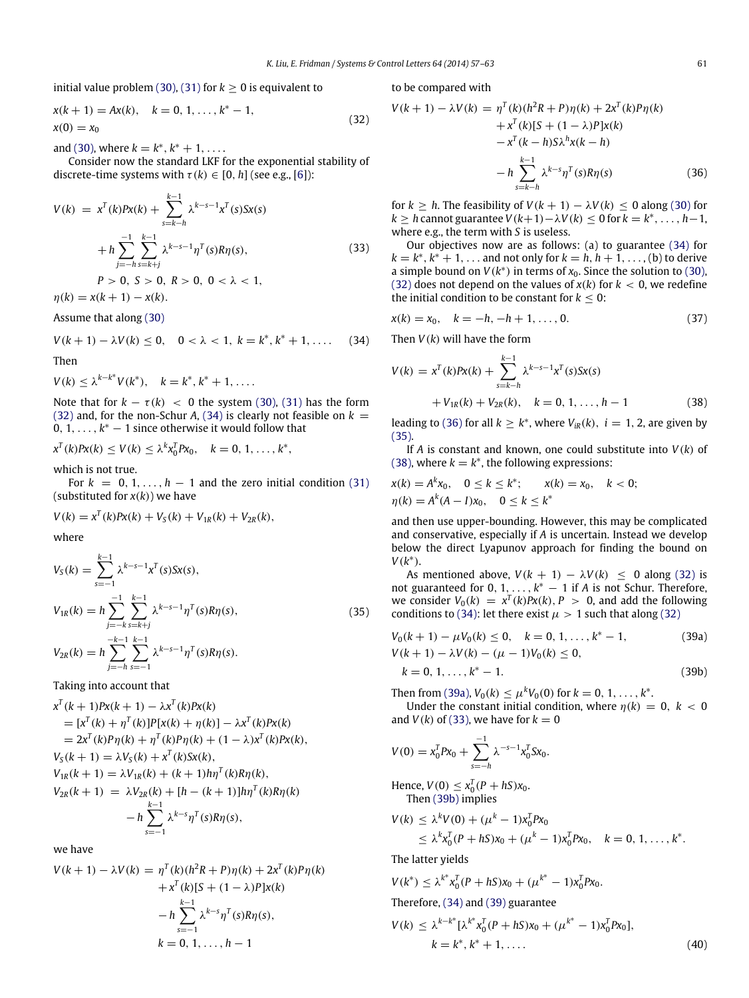initial value problem [\(30\),](#page-3-3) [\(31\)](#page-3-4) for  $k \ge 0$  is equivalent to

$$
x(k + 1) = Ax(k), \quad k = 0, 1, ..., k^* - 1,
$$
  
\n
$$
x(0) = x_0
$$
\n(32)

and [\(30\),](#page-3-3) where  $k = k^*, k^* + 1, \ldots$ 

Consider now the standard LKF for the exponential stability of discrete-time systems with  $\tau(k) \in [0, h]$  (see e.g., [\[6\]](#page-6-5)):

$$
V(k) = x^{T}(k)Px(k) + \sum_{s=k-h}^{k-1} \lambda^{k-s-1}x^{T}(s)Sx(s)
$$
  
+ 
$$
h \sum_{j=-h}^{-1} \sum_{s=k+j}^{k-1} \lambda^{k-s-1} \eta^{T}(s)R\eta(s),
$$
  

$$
P > 0, S > 0, R > 0, 0 < \lambda < 1,
$$
 (33)

 $\eta(k) = x(k+1) - x(k).$ 

Assume that along [\(30\)](#page-3-3)

$$
V(k + 1) - \lambda V(k) \le 0, \quad 0 < \lambda < 1, \ k = k^*, k^* + 1, \dots \tag{34}
$$

Then

$$
V(k) \leq \lambda^{k-k^*} V(k^*), \quad k = k^*, k^* + 1, \ldots.
$$

Note that for  $k - \tau(k) < 0$  the system [\(30\),](#page-3-3) [\(31\)](#page-3-4) has the form [\(32\)](#page-4-0) and, for the non-Schur *A*, [\(34\)](#page-4-1) is clearly not feasible on  $k =$  $0, 1, \ldots, k^* - 1$  since otherwise it would follow that

$$
x^{T}(k)Px(k) \leq V(k) \leq \lambda^{k}x_{0}^{T}Px_{0}, \quad k = 0, 1, ..., k^{*},
$$

which is not true.

For  $k = 0, 1, \ldots, h - 1$  and the zero initial condition [\(31\)](#page-3-4) (substituted for *x*(*k*)) we have

$$
V(k) = x^{T}(k)Px(k) + V_{S}(k) + V_{1R}(k) + V_{2R}(k),
$$

where

$$
V_S(k) = \sum_{s=-1}^{k-1} \lambda^{k-s-1} x^T(s) S x(s),
$$
  
\n
$$
V_{1R}(k) = h \sum_{j=-k}^{-1} \sum_{s=k+j}^{k-1} \lambda^{k-s-1} \eta^T(s) R \eta(s),
$$
  
\n
$$
V_{2R}(k) = h \sum_{j=-h}^{-k-1} \sum_{s=-1}^{k-1} \lambda^{k-s-1} \eta^T(s) R \eta(s).
$$
\n(35)

Taking into account that

$$
x^{T}(k + 1)Px(k + 1) - \lambda x^{T}(k)Px(k)
$$
  
=  $[x^{T}(k) + \eta^{T}(k)]P[x(k) + \eta(k)] - \lambda x^{T}(k)Px(k)$   
=  $2x^{T}(k)P\eta(k) + \eta^{T}(k)P\eta(k) + (1 - \lambda)x^{T}(k)Px(k),$   
 $V_{S}(k + 1) = \lambda V_{S}(k) + x^{T}(k)Sx(k),$   
 $V_{1R}(k + 1) = \lambda V_{1R}(k) + (k + 1)h\eta^{T}(k)R\eta(k),$   
 $V_{2R}(k + 1) = \lambda V_{2R}(k) + [h - (k + 1)]h\eta^{T}(k)R\eta(k)$   
 $- h \sum_{s=-1}^{k-1} \lambda^{k-s} \eta^{T}(s)R\eta(s),$ 

we have

$$
V(k + 1) - \lambda V(k) = \eta^T(k)(h^2 R + P)\eta(k) + 2x^T(k)P\eta(k)
$$
  
+  $x^T(k)[S + (1 - \lambda)P]x(k)$   
-  $h \sum_{s=-1}^{k-1} \lambda^{k-s} \eta^T(s)R\eta(s),$   
 $k = 0, 1, ..., h - 1$ 

to be compared with

<span id="page-4-2"></span><span id="page-4-0"></span>
$$
V(k + 1) - \lambda V(k) = \eta^{T}(k)(h^{2}R + P)\eta(k) + 2x^{T}(k)P\eta(k) + x^{T}(k)[S + (1 - \lambda)P]x(k) - x^{T}(k - h)S\lambda^{h}x(k - h) - h \sum_{s=k-h}^{k-1} \lambda^{k-s} \eta^{T}(s)R\eta(s)
$$
(36)

<span id="page-4-6"></span>for  $k \geq h$ . The feasibility of  $V(k + 1) - \lambda V(k) \leq 0$  along [\(30\)](#page-3-3) for *k* ≥ *h* cannot guarantee *V*(*k*+1)−λ*V*(*k*) ≤ 0 for *k* = *k* ∗ , . . . , *h*−1, where e.g., the term with *S* is useless.

Our objectives now are as follows: (a) to guarantee [\(34\)](#page-4-1) for  $k = k^*, k^* + 1, \ldots$  and not only for  $k = h, h + 1, \ldots$ , (b) to derive a simple bound on  $V(k^*)$  in terms of  $x_0$ . Since the solution to [\(30\),](#page-3-3) [\(32\)](#page-4-0) does not depend on the values of  $x(k)$  for  $k < 0$ , we redefine the initial condition to be constant for  $k \leq 0$ :

$$
x(k) = x_0, \quad k = -h, -h + 1, \dots, 0. \tag{37}
$$

<span id="page-4-1"></span>Then *V*(*k*) will have the form

$$
V(k) = x^{T}(k)Px(k) + \sum_{s=k-h}^{k-1} \lambda^{k-s-1}x^{T}(s)Sx(s)
$$
  
+  $V_{1R}(k) + V_{2R}(k), \quad k = 0, 1, ..., h-1$  (38)

<span id="page-4-4"></span>leading to [\(36\)](#page-4-2) for all  $k \geq k^*$ , where  $V_{ik}(k)$ ,  $i = 1, 2$ , are given by [\(35\).](#page-4-3)

If *A* is constant and known, one could substitute into *V*(*k*) of [\(38\),](#page-4-4) where  $k = k^*$ , the following expressions:

$$
x(k) = A^{k}x_{0}, \quad 0 \le k \le k^{*}; \qquad x(k) = x_{0}, \quad k < 0;
$$
\n
$$
\eta(k) = A^{k}(A - I)x_{0}, \quad 0 \le k \le k^{*}
$$

and then use upper-bounding. However, this may be complicated and conservative, especially if *A* is uncertain. Instead we develop below the direct Lyapunov approach for finding the bound on *V*(*k* ∗ ).

<span id="page-4-3"></span>As mentioned above,  $V(k + 1) - \lambda V(k) < 0$  along [\(32\)](#page-4-0) is not guaranteed for  $0, 1, \ldots, k^* - 1$  if *A* is not Schur. Therefore, we consider  $V_0(k) = x^T(k)Px(k), P > 0$ , and add the following conditions to [\(34\):](#page-4-1) let there exist  $\mu > 1$  such that along [\(32\)](#page-4-0)

<span id="page-4-8"></span>
$$
V_0(k + 1) - \mu V_0(k) \le 0, \quad k = 0, 1, ..., k^* - 1,
$$
  
\n
$$
V(k + 1) - \lambda V(k) - (\mu - 1)V_0(k) \le 0,
$$
\n(39a)

<span id="page-4-7"></span><span id="page-4-5"></span>
$$
k = 0, 1, \dots, k^* - 1. \tag{39b}
$$

Then from [\(39a\),](#page-4-5)  $V_0(k) \le \mu^k V_0(0)$  for  $k = 0, 1, ..., k^*$ .

Under the constant initial condition, where  $\eta(k) = 0, k < 0$ and  $V(k)$  of [\(33\),](#page-4-6) we have for  $k = 0$ 

$$
V(0) = x_0^T P x_0 + \sum_{s=-h}^{-1} \lambda^{-s-1} x_0^T S x_0.
$$

Hence,  $V(0) \le x_0^T (P + hS)x_0$ . Then [\(39b\)](#page-4-7) implies

$$
V(k) \leq \lambda^k V(0) + (\mu^k - 1)x_0^T P x_0
$$
  
 
$$
\leq \lambda^k x_0^T (P + hS) x_0 + (\mu^k - 1) x_0^T P x_0, \quad k = 0, 1, ..., k^*.
$$

The latter yields

$$
V(k^*) \leq \lambda^{k^*} x_0^T (P + hS) x_0 + (\mu^{k^*} - 1) x_0^T P x_0.
$$

Therefore, [\(34\)](#page-4-1) and [\(39\)](#page-4-8) guarantee

<span id="page-4-9"></span>
$$
V(k) \leq \lambda^{k-k^*} [\lambda^{k^*} x_0^T (P + hS)x_0 + (\mu^{k^*} - 1)x_0^T P x_0],
$$
  
\n
$$
k = k^*, k^* + 1, ....
$$
 (40)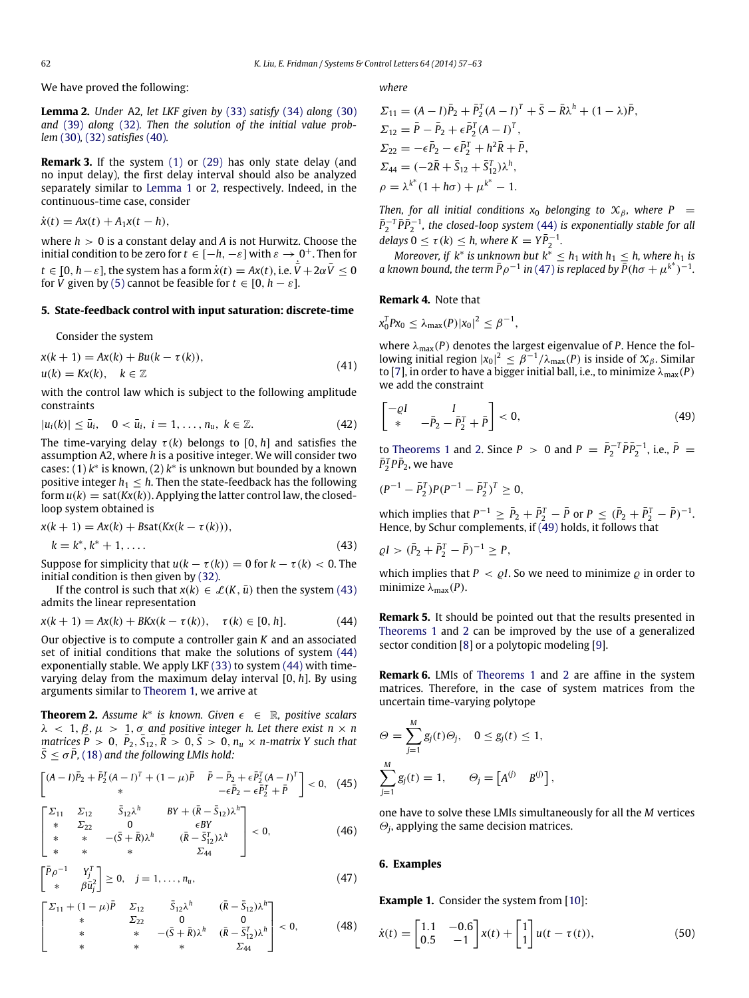We have proved the following:

<span id="page-5-0"></span>**Lemma 2.** *Under* A2*, let LKF given by* [\(33\)](#page-4-6) *satisfy* [\(34\)](#page-4-1) *along* [\(30\)](#page-3-3) and [\(39\)](#page-4-8) *along* [\(32\)](#page-4-0)*. Then the solution of the initial value problem* [\(30\)](#page-3-3)*,* [\(32\)](#page-4-0) *satisfies* [\(40\)](#page-4-9)*.*

**Remark 3.** If the system [\(1\)](#page-0-6) or [\(29\)](#page-3-5) has only state delay (and no input delay), the first delay interval should also be analyzed separately similar to [Lemma 1](#page-2-0) or [2,](#page-5-0) respectively. Indeed, in the continuous-time case, consider

$$
\dot{x}(t) = Ax(t) + A_1x(t-h),
$$

where *h* > 0 is a constant delay and *A* is not Hurwitz. Choose the initial condition to be zero for  $t \in [-h, -\varepsilon]$  with  $\varepsilon \to 0^+$ . Then for  $t \in [0, h-\varepsilon]$ , the system has a form  $\dot{x}(t) = Ax(t)$ , i.e.  $\dot{\bar{V}} + 2\alpha \bar{V} \leq 0$ for  $\bar{V}$  given by [\(5\)](#page-1-6) cannot be feasible for  $t \in [0, h - \varepsilon]$ .

#### **5. State-feedback control with input saturation: discrete-time**

Consider the system

$$
x(k + 1) = Ax(k) + Bu(k - \tau(k)),
$$
  
\n
$$
u(k) = Kx(k), \quad k \in \mathbb{Z}
$$
\n(41)

with the control law which is subject to the following amplitude constraints

$$
|u_i(k)| \le \bar{u}_i, \quad 0 < \bar{u}_i, \ i = 1, \dots, n_u, \ k \in \mathbb{Z}.\tag{42}
$$

The time-varying delay  $\tau(k)$  belongs to [0, *h*] and satisfies the assumption A2, where *h* is a positive integer. We will consider two cases: (1) *k* ∗ is known, (2) *k* ∗ is unknown but bounded by a known positive integer  $h_1 \leq h$ . Then the state-feedback has the following form  $u(k) = sat(Kx(k))$ . Applying the latter control law, the closedloop system obtained is

$$
x(k + 1) = Ax(k) + Bsat(Kx(k - \tau(k))),
$$
  
\n
$$
k = k^*, k^* + 1, ....
$$
\n(43)

Suppose for simplicity that  $u(k - \tau(k)) = 0$  for  $k - \tau(k) < 0$ . The initial condition is then given by [\(32\).](#page-4-0)

If the control is such that  $x(k) \in \mathcal{L}(K, \bar{u})$  then the system [\(43\)](#page-5-1) admits the linear representation

$$
x(k + 1) = Ax(k) + BKx(k - \tau(k)), \quad \tau(k) \in [0, h].
$$
 (44)

Our objective is to compute a controller gain *K* and an associated set of initial conditions that make the solutions of system [\(44\)](#page-5-2) exponentially stable. We apply LKF [\(33\)](#page-4-6) to system [\(44\)](#page-5-2) with timevarying delay from the maximum delay interval [0, *h*]. By using arguments similar to [Theorem 1,](#page-2-11) we arrive at

<span id="page-5-4"></span>**Theorem 2.** *Assume k*<sup>∗</sup> *is known. Given* ϵ ∈ R*, positive scalars*  $\lambda$  < 1,  $\beta$ ,  $\mu$  > 1,  $\sigma$  and positive integer h. Let there exist  $n \times n$ *matrices*  $\overline{P}$  > 0,  $\overline{P}_2$ ,  $\overline{S}_{12}$ ,  $\overline{R}$  > 0,  $\overline{S}$  > 0,  $n_u \times n$ -matrix Y such that  $S \leq \sigma P$ , [\(18\)](#page-2-6) and the following LMIs hold:

$$
\begin{bmatrix} (A-I)\bar{P}_2 + \bar{P}_2^T(A-I)^T + (1-\mu)\bar{P} & \bar{P} - \bar{P}_2 + \epsilon \bar{P}_2^T(A-I)^T \\ * & -\epsilon \bar{P}_2 - \epsilon \bar{P}_2^T + \bar{P} \end{bmatrix} < 0, \quad (45)
$$

$$
\begin{bmatrix} \Sigma_{11} & \Sigma_{12} & \bar{S}_{12}\lambda^h & BY + (\bar{R} - \bar{S}_{12})\lambda^h \\ * & \Sigma_{22} & 0 & \epsilon BY \\ * & * & -(\bar{S} + \bar{R})\lambda^h & (\bar{R} - \bar{S}_{12}^T)\lambda^h \\ * & * & * & \Sigma_{44} \end{bmatrix} < 0,
$$
 (46)

$$
\begin{bmatrix} \bar{P}\rho^{-1} & Y_j^T \\ * & \beta \bar{u}_j^2 \end{bmatrix} \geq 0, \quad j = 1, \dots, n_u,
$$
\n(47)

$$
\begin{bmatrix} \Sigma_{11} + (1 - \mu)\bar{P} & \Sigma_{12} & \bar{S}_{12}\lambda^h & (\bar{R} - \bar{S}_{12})\lambda^h \\ * & \Sigma_{22} & 0 & 0 \\ * & * & -(\bar{S} + \bar{R})\lambda^h & (\bar{R} - \bar{S}_{12}^T)\lambda^h \\ * & * & * & \Sigma_{44} \end{bmatrix} < 0,\tag{48}
$$

*where*

$$
\Sigma_{11} = (A - I)\bar{P}_2 + \bar{P}_2^T (A - I)^T + \bar{S} - \bar{R}\lambda^h + (1 - \lambda)\bar{P},
$$
  
\n
$$
\Sigma_{12} = \bar{P} - \bar{P}_2 + \epsilon \bar{P}_2^T (A - I)^T,
$$
  
\n
$$
\Sigma_{22} = -\epsilon \bar{P}_2 - \epsilon \bar{P}_2^T + h^2 \bar{R} + \bar{P},
$$
  
\n
$$
\Sigma_{44} = (-2\bar{R} + \bar{S}_{12} + \bar{S}_{12}^T)\lambda^h,
$$
  
\n
$$
\rho = \lambda^{k*} (1 + h\sigma) + \mu^{k*} - 1.
$$

*Then, for all initial conditions*  $x_0$  *belonging to*  $\mathcal{X}_\beta$ *, where*  $P =$  $\bar{P}_2^{-T} \bar{P} \bar{P}_2^{-1}$ , the closed-loop system [\(44\)](#page-5-2) is exponentially stable for all  $\text{delays } 0 \leq \tau(k) \leq h, \text{ where } K = Y\bar{P}_2^{-1}.$ 

*Moreover, if*  $k^*$  *is unknown but*  $k^* \leq h_1$  *with*  $h_1 \leq h$ *, where*  $h_1$  *is a* known bound, the term  $\bar{P}\rho^{-1}$  in [\(47\)](#page-5-3) is replaced by  $\bar{P}$ (*ho* +  $\mu^{k^*}$ )<sup>-1</sup>.

#### <span id="page-5-7"></span>**Remark 4.** Note that

$$
x_0^T P x_0 \leq \lambda_{\max}(P) |x_0|^2 \leq \beta^{-1},
$$

where λmax(*P*) denotes the largest eigenvalue of *P*. Hence the following initial region  $|x_0|^2 \leq \beta^{-1}/\lambda_{\max}(P)$  is inside of  $\mathcal{X}_{\beta}$ . Similar to [\[7\]](#page-6-6), in order to have a bigger initial ball, i.e., to minimize  $\lambda_{\text{max}}(P)$ we add the constraint

<span id="page-5-5"></span>
$$
\begin{bmatrix} -\varrho I & I \\ * & -\bar{P}_2 - \bar{P}_2^T + \bar{P} \end{bmatrix} < 0,\tag{49}
$$

to [Theorems 1](#page-2-11) and [2.](#page-5-4) Since *P* > 0 and *P* =  $\bar{P}_2^{-T} \bar{P} \bar{P}_2^{-1}$ , i.e.,  $\bar{P}$  =  $\bar{P}_2^T P \bar{P}_2$ , we have

$$
(P^{-1} - \bar{P}_2^T)P(P^{-1} - \bar{P}_2^T)^T \ge 0,
$$

which implies that  $P^{-1} \ge \bar{P}_2 + \bar{P}_2^T - \bar{P}$  or  $P \le (\bar{P}_2 + \bar{P}_2^T - \bar{P})^{-1}$ . Hence, by Schur complements, if [\(49\)](#page-5-5) holds, it follows that

<span id="page-5-1"></span>
$$
\varrho I > (\bar{P}_2 + \bar{P}_2^T - \bar{P})^{-1} \ge P,
$$

which implies that  $P < \rho I$ . So we need to minimize  $\rho$  in order to minimize  $\lambda_{\text{max}}(P)$ .

<span id="page-5-2"></span>**Remark 5.** It should be pointed out that the results presented in [Theorems 1](#page-2-11) and [2](#page-5-4) can be improved by the use of a generalized sector condition [\[8\]](#page-6-7) or a polytopic modeling [\[9\]](#page-6-8).

<span id="page-5-8"></span>**Remark 6.** LMIs of [Theorems 1](#page-2-11) and [2](#page-5-4) are affine in the system matrices. Therefore, in the case of system matrices from the uncertain time-varying polytope

$$
\Theta = \sum_{j=1}^{M} g_j(t) \Theta_j, \quad 0 \le g_j(t) \le 1,
$$
  

$$
\sum_{j=1}^{M} g_j(t) = 1, \quad \Theta_j = \begin{bmatrix} A^{(j)} & B^{(j)} \end{bmatrix},
$$

one have to solve these LMIs simultaneously for all the *M* vertices  $\Theta_j$ , applying the same decision matrices.

#### <span id="page-5-3"></span>**6. Examples**

<span id="page-5-9"></span><span id="page-5-6"></span>**Example 1.** Consider the system from [\[10\]](#page-6-9):

$$
\dot{x}(t) = \begin{bmatrix} 1.1 & -0.6 \\ 0.5 & -1 \end{bmatrix} x(t) + \begin{bmatrix} 1 \\ 1 \end{bmatrix} u(t - \tau(t)),
$$
\n(50)